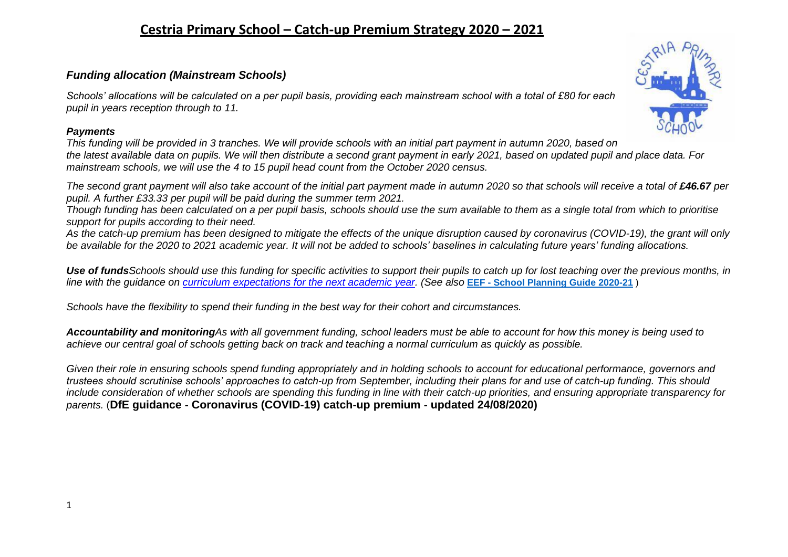## **Cestria Primary School – Catch-up Premium Strategy 2020 – 2021**

#### *Funding allocation (Mainstream Schools)*

*Schools' allocations will be calculated on a per pupil basis, providing each mainstream school with a total of £80 for each pupil in years reception through to 11.*

#### *Payments*

*This funding will be provided in 3 tranches. We will provide schools with an initial part payment in autumn 2020, based on the latest available data on pupils. We will then distribute a second grant payment in early 2021, based on updated pupil and place data. For mainstream schools, we will use the 4 to 15 pupil head count from the October 2020 census.*

*The second grant payment will also take account of the initial part payment made in autumn 2020 so that schools will receive a total of £46.67 per pupil. A further £33.33 per pupil will be paid during the summer term 2021.*

*Though funding has been calculated on a per pupil basis, schools should use the sum available to them as a single total from which to prioritise support for pupils according to their need.*

*As the catch-up premium has been designed to mitigate the effects of the unique disruption caused by coronavirus (COVID-19), the grant will only be available for the 2020 to 2021 academic year. It will not be added to schools' baselines in calculating future years' funding allocations.*

*Use of fundsSchools should use this funding for specific activities to support their pupils to catch up for lost teaching over the previous months, in line with the guidance on [curriculum expectations for the next academic year.](https://www.gov.uk/government/publications/actions-for-schools-during-the-coronavirus-outbreak/guidance-for-full-opening-schools#section-3-curriculum-behaviour-and-pastoral-support) (See also* **EEF - [School Planning Guide 2020-21](https://educationendowmentfoundation.org.uk/covid-19-resources/guide-to-supporting-schools-planning/)** )

*Schools have the flexibility to spend their funding in the best way for their cohort and circumstances.*

*Accountability and monitoringAs with all government funding, school leaders must be able to account for how this money is being used to achieve our central goal of schools getting back on track and teaching a normal curriculum as quickly as possible.*

*Given their role in ensuring schools spend funding appropriately and in holding schools to account for educational performance, governors and trustees should scrutinise schools' approaches to catch-up from September, including their plans for and use of catch-up funding. This should include consideration of whether schools are spending this funding in line with their catch-up priorities, and ensuring appropriate transparency for parents.* (**DfE guidance - Coronavirus (COVID-19) catch-up premium - updated 24/08/2020)**

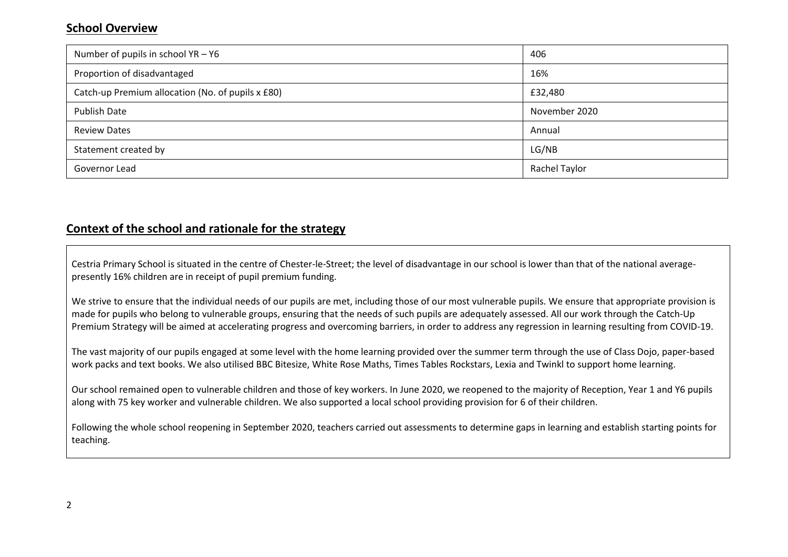### **School Overview**

| Number of pupils in school YR - Y6                | 406           |
|---------------------------------------------------|---------------|
| Proportion of disadvantaged                       | 16%           |
| Catch-up Premium allocation (No. of pupils x £80) | £32,480       |
| <b>Publish Date</b>                               | November 2020 |
| <b>Review Dates</b>                               | Annual        |
| Statement created by                              | LG/NB         |
| Governor Lead                                     | Rachel Taylor |

### **Context of the school and rationale for the strategy**

Cestria Primary School is situated in the centre of Chester-le-Street; the level of disadvantage in our school is lower than that of the national averagepresently 16% children are in receipt of pupil premium funding.

We strive to ensure that the individual needs of our pupils are met, including those of our most vulnerable pupils. We ensure that appropriate provision is made for pupils who belong to vulnerable groups, ensuring that the needs of such pupils are adequately assessed. All our work through the Catch-Up Premium Strategy will be aimed at accelerating progress and overcoming barriers, in order to address any regression in learning resulting from COVID-19.

The vast majority of our pupils engaged at some level with the home learning provided over the summer term through the use of Class Dojo, paper-based work packs and text books. We also utilised BBC Bitesize, White Rose Maths, Times Tables Rockstars, Lexia and Twinkl to support home learning.

Our school remained open to vulnerable children and those of key workers. In June 2020, we reopened to the majority of Reception, Year 1 and Y6 pupils along with 75 key worker and vulnerable children. We also supported a local school providing provision for 6 of their children.

Following the whole school reopening in September 2020, teachers carried out assessments to determine gaps in learning and establish starting points for teaching.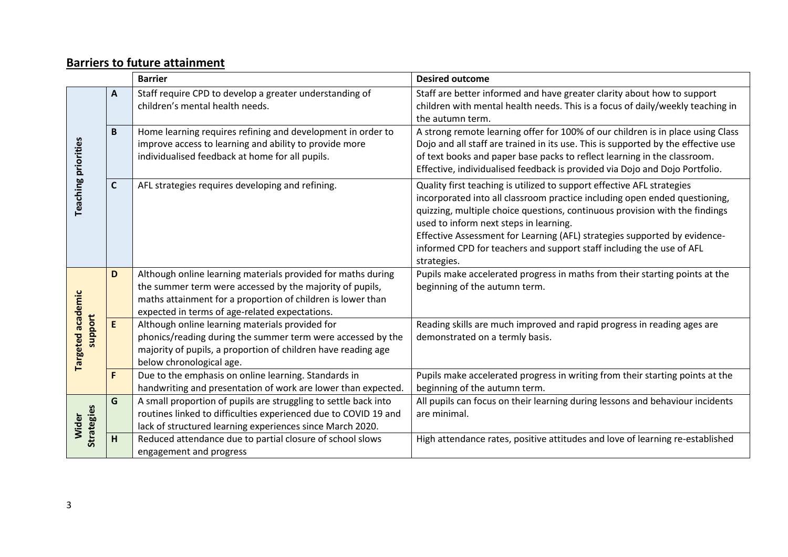### **Barriers to future attainment**

|                            |              | <b>Barrier</b>                                                                                                                                                                                                                            | <b>Desired outcome</b>                                                                                                                                                                                                                                                                                                                                                                                                                            |
|----------------------------|--------------|-------------------------------------------------------------------------------------------------------------------------------------------------------------------------------------------------------------------------------------------|---------------------------------------------------------------------------------------------------------------------------------------------------------------------------------------------------------------------------------------------------------------------------------------------------------------------------------------------------------------------------------------------------------------------------------------------------|
| <b>Teaching priorities</b> | A            | Staff require CPD to develop a greater understanding of<br>children's mental health needs.                                                                                                                                                | Staff are better informed and have greater clarity about how to support<br>children with mental health needs. This is a focus of daily/weekly teaching in<br>the autumn term.                                                                                                                                                                                                                                                                     |
|                            | B            | Home learning requires refining and development in order to<br>improve access to learning and ability to provide more<br>individualised feedback at home for all pupils.                                                                  | A strong remote learning offer for 100% of our children is in place using Class<br>Dojo and all staff are trained in its use. This is supported by the effective use<br>of text books and paper base packs to reflect learning in the classroom.<br>Effective, individualised feedback is provided via Dojo and Dojo Portfolio.                                                                                                                   |
|                            | $\mathsf{C}$ | AFL strategies requires developing and refining.                                                                                                                                                                                          | Quality first teaching is utilized to support effective AFL strategies<br>incorporated into all classroom practice including open ended questioning,<br>quizzing, multiple choice questions, continuous provision with the findings<br>used to inform next steps in learning.<br>Effective Assessment for Learning (AFL) strategies supported by evidence-<br>informed CPD for teachers and support staff including the use of AFL<br>strategies. |
| academic                   | D            | Although online learning materials provided for maths during<br>the summer term were accessed by the majority of pupils,<br>maths attainment for a proportion of children is lower than<br>expected in terms of age-related expectations. | Pupils make accelerated progress in maths from their starting points at the<br>beginning of the autumn term.                                                                                                                                                                                                                                                                                                                                      |
| support<br>argeted         | E            | Although online learning materials provided for<br>phonics/reading during the summer term were accessed by the<br>majority of pupils, a proportion of children have reading age<br>below chronological age.                               | Reading skills are much improved and rapid progress in reading ages are<br>demonstrated on a termly basis.                                                                                                                                                                                                                                                                                                                                        |
|                            | F            | Due to the emphasis on online learning. Standards in<br>handwriting and presentation of work are lower than expected.                                                                                                                     | Pupils make accelerated progress in writing from their starting points at the<br>beginning of the autumn term.                                                                                                                                                                                                                                                                                                                                    |
| <b>Strategies</b><br>Wider | G            | A small proportion of pupils are struggling to settle back into<br>routines linked to difficulties experienced due to COVID 19 and<br>lack of structured learning experiences since March 2020.                                           | All pupils can focus on their learning during lessons and behaviour incidents<br>are minimal.                                                                                                                                                                                                                                                                                                                                                     |
|                            | н            | Reduced attendance due to partial closure of school slows<br>engagement and progress                                                                                                                                                      | High attendance rates, positive attitudes and love of learning re-established                                                                                                                                                                                                                                                                                                                                                                     |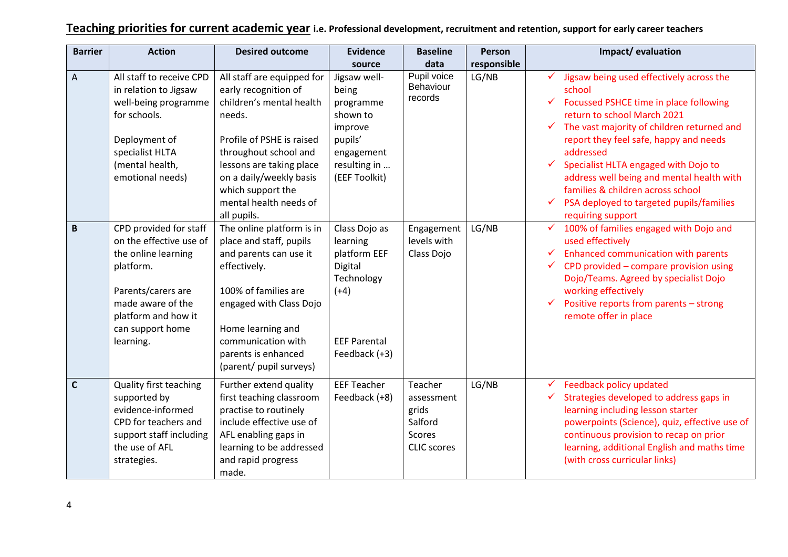| <b>Barrier</b> | <b>Action</b>                                                                                                                                                                            | <b>Desired outcome</b>                                                                                                                                                                                                                                              | <b>Evidence</b>                                                                                                      | <b>Baseline</b>                                                           | Person      | Impact/evaluation                                                                                                                                                                                                                                                                                                                                                                                                                                        |
|----------------|------------------------------------------------------------------------------------------------------------------------------------------------------------------------------------------|---------------------------------------------------------------------------------------------------------------------------------------------------------------------------------------------------------------------------------------------------------------------|----------------------------------------------------------------------------------------------------------------------|---------------------------------------------------------------------------|-------------|----------------------------------------------------------------------------------------------------------------------------------------------------------------------------------------------------------------------------------------------------------------------------------------------------------------------------------------------------------------------------------------------------------------------------------------------------------|
|                |                                                                                                                                                                                          |                                                                                                                                                                                                                                                                     | source                                                                                                               | data                                                                      | responsible |                                                                                                                                                                                                                                                                                                                                                                                                                                                          |
| $\overline{A}$ | All staff to receive CPD<br>in relation to Jigsaw<br>well-being programme<br>for schools.<br>Deployment of<br>specialist HLTA<br>(mental health,<br>emotional needs)                     | All staff are equipped for<br>early recognition of<br>children's mental health<br>needs.<br>Profile of PSHE is raised<br>throughout school and<br>lessons are taking place<br>on a daily/weekly basis<br>which support the<br>mental health needs of<br>all pupils. | Jigsaw well-<br>being<br>programme<br>shown to<br>improve<br>pupils'<br>engagement<br>resulting in<br>(EEF Toolkit)  | Pupil voice<br>Behaviour<br>records                                       | LG/NB       | Jigsaw being used effectively across the<br>school<br>$\checkmark$ Focussed PSHCE time in place following<br>return to school March 2021<br>The vast majority of children returned and<br>report they feel safe, happy and needs<br>addressed<br>Specialist HLTA engaged with Dojo to<br>address well being and mental health with<br>families & children across school<br>PSA deployed to targeted pupils/families<br>$\checkmark$<br>requiring support |
| B              | CPD provided for staff<br>on the effective use of<br>the online learning<br>platform.<br>Parents/carers are<br>made aware of the<br>platform and how it<br>can support home<br>learning. | The online platform is in<br>place and staff, pupils<br>and parents can use it<br>effectively.<br>100% of families are<br>engaged with Class Dojo<br>Home learning and<br>communication with<br>parents is enhanced<br>(parent/ pupil surveys)                      | Class Dojo as<br>learning<br>platform EEF<br>Digital<br>Technology<br>$(+4)$<br><b>EEF Parental</b><br>Feedback (+3) | Engagement<br>levels with<br>Class Dojo                                   | LG/NB       | 100% of families engaged with Dojo and<br>$\checkmark$<br>used effectively<br>Enhanced communication with parents<br>$\checkmark$<br>CPD provided - compare provision using<br>$\checkmark$<br>Dojo/Teams. Agreed by specialist Dojo<br>working effectively<br>Positive reports from parents - strong<br>remote offer in place                                                                                                                           |
| $\mathbf c$    | <b>Quality first teaching</b><br>supported by<br>evidence-informed<br>CPD for teachers and<br>support staff including<br>the use of AFL<br>strategies.                                   | Further extend quality<br>first teaching classroom<br>practise to routinely<br>include effective use of<br>AFL enabling gaps in<br>learning to be addressed<br>and rapid progress<br>made.                                                                          | <b>EEF Teacher</b><br>Feedback (+8)                                                                                  | Teacher<br>assessment<br>grids<br>Salford<br>Scores<br><b>CLIC</b> scores | LG/NB       | Feedback policy updated<br>$\checkmark$<br>Strategies developed to address gaps in<br>✓<br>learning including lesson starter<br>powerpoints (Science), quiz, effective use of<br>continuous provision to recap on prior<br>learning, additional English and maths time<br>(with cross curricular links)                                                                                                                                                  |

# **Teaching priorities for current academic year i.e. Professional development, recruitment and retention, support for early career teachers**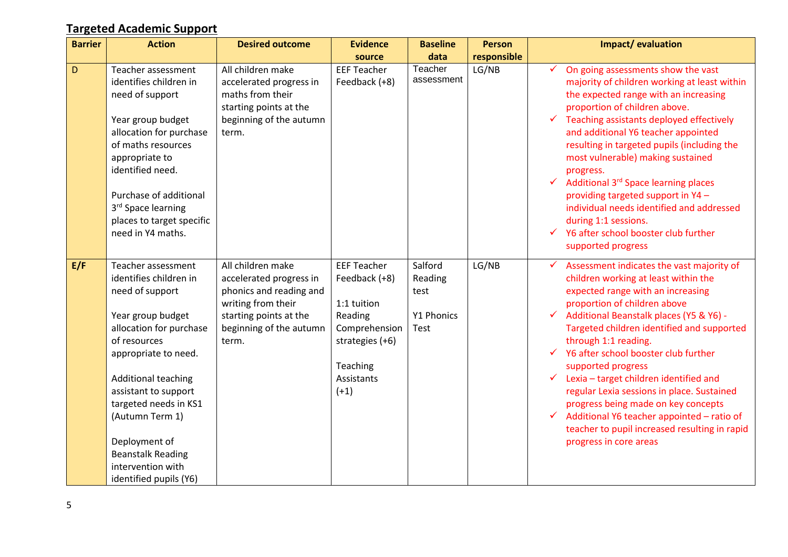# **Targeted Academic Support**

| <b>Barrier</b> | <b>Action</b>                                                                                                                                                                                                                                                                                                                                  | <b>Desired outcome</b>                                                                                                                                      | <b>Evidence</b>                                                                                                                       | <b>Baseline</b>                                  | <b>Person</b> | Impact/evaluation                                                                                                                                                                                                                                                                                                                                                                                                                                                                                                                                                                                                             |
|----------------|------------------------------------------------------------------------------------------------------------------------------------------------------------------------------------------------------------------------------------------------------------------------------------------------------------------------------------------------|-------------------------------------------------------------------------------------------------------------------------------------------------------------|---------------------------------------------------------------------------------------------------------------------------------------|--------------------------------------------------|---------------|-------------------------------------------------------------------------------------------------------------------------------------------------------------------------------------------------------------------------------------------------------------------------------------------------------------------------------------------------------------------------------------------------------------------------------------------------------------------------------------------------------------------------------------------------------------------------------------------------------------------------------|
|                |                                                                                                                                                                                                                                                                                                                                                |                                                                                                                                                             | source                                                                                                                                | data                                             | responsible   |                                                                                                                                                                                                                                                                                                                                                                                                                                                                                                                                                                                                                               |
| D              | Teacher assessment<br>identifies children in<br>need of support<br>Year group budget<br>allocation for purchase<br>of maths resources<br>appropriate to<br>identified need.<br>Purchase of additional<br>3rd Space learning<br>places to target specific<br>need in Y4 maths.                                                                  | All children make<br>accelerated progress in<br>maths from their<br>starting points at the<br>beginning of the autumn<br>term.                              | <b>EEF Teacher</b><br>Feedback (+8)                                                                                                   | Teacher<br>assessment                            | LG/NB         | On going assessments show the vast<br>$\checkmark$<br>majority of children working at least within<br>the expected range with an increasing<br>proportion of children above.<br>Teaching assistants deployed effectively<br>$\checkmark$<br>and additional Y6 teacher appointed<br>resulting in targeted pupils (including the<br>most vulnerable) making sustained<br>progress.<br>Additional 3rd Space learning places<br>providing targeted support in Y4 -<br>individual needs identified and addressed<br>during 1:1 sessions.<br>Y6 after school booster club further<br>supported progress                             |
| E/F            | Teacher assessment<br>identifies children in<br>need of support<br>Year group budget<br>allocation for purchase<br>of resources<br>appropriate to need.<br>Additional teaching<br>assistant to support<br>targeted needs in KS1<br>(Autumn Term 1)<br>Deployment of<br><b>Beanstalk Reading</b><br>intervention with<br>identified pupils (Y6) | All children make<br>accelerated progress in<br>phonics and reading and<br>writing from their<br>starting points at the<br>beginning of the autumn<br>term. | <b>EEF Teacher</b><br>Feedback (+8)<br>1:1 tuition<br>Reading<br>Comprehension<br>strategies (+6)<br>Teaching<br>Assistants<br>$(+1)$ | Salford<br>Reading<br>test<br>Y1 Phonics<br>Test | LG/NB         | Assessment indicates the vast majority of<br>$\checkmark$<br>children working at least within the<br>expected range with an increasing<br>proportion of children above<br>Additional Beanstalk places (Y5 & Y6) -<br>Targeted children identified and supported<br>through 1:1 reading.<br>Y6 after school booster club further<br>supported progress<br>Lexia - target children identified and<br>$\checkmark$<br>regular Lexia sessions in place. Sustained<br>progress being made on key concepts<br>Additional Y6 teacher appointed - ratio of<br>teacher to pupil increased resulting in rapid<br>progress in core areas |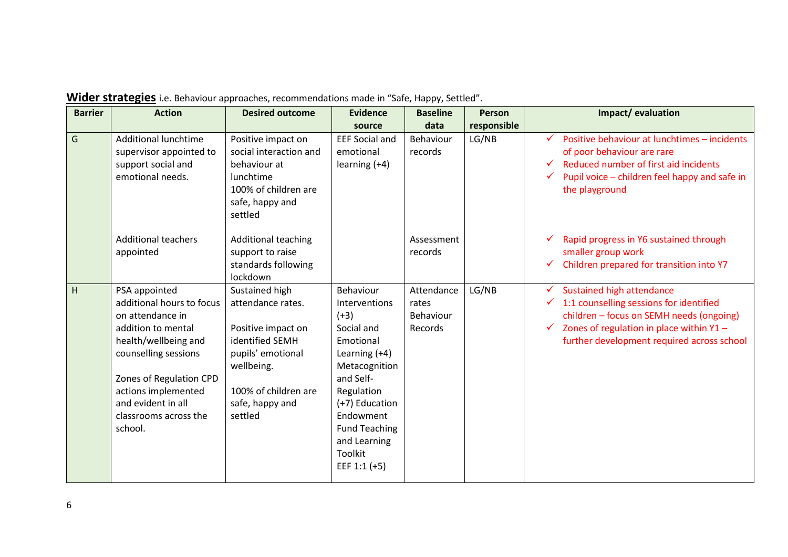| <b>Barrier</b> | <b>Action</b>                                                                                                                                                                                                                                    | <b>Desired outcome</b>                                                                                                                                                | <b>Evidence</b>                                                                                                                                                                                                                           | <b>Baseline</b>                             | Person      | Impact/evaluation                                                                                                                                                                                                      |
|----------------|--------------------------------------------------------------------------------------------------------------------------------------------------------------------------------------------------------------------------------------------------|-----------------------------------------------------------------------------------------------------------------------------------------------------------------------|-------------------------------------------------------------------------------------------------------------------------------------------------------------------------------------------------------------------------------------------|---------------------------------------------|-------------|------------------------------------------------------------------------------------------------------------------------------------------------------------------------------------------------------------------------|
|                |                                                                                                                                                                                                                                                  |                                                                                                                                                                       | source                                                                                                                                                                                                                                    | data                                        | responsible |                                                                                                                                                                                                                        |
| G              | <b>Additional lunchtime</b><br>supervisor appointed to<br>support social and<br>emotional needs.                                                                                                                                                 | Positive impact on<br>social interaction and<br>behaviour at<br>lunchtime<br>100% of children are<br>safe, happy and<br>settled                                       | <b>EEF Social and</b><br>emotional<br>learning $(+4)$                                                                                                                                                                                     | <b>Behaviour</b><br>records                 | LG/NB       | Positive behaviour at lunchtimes - incidents<br>of poor behaviour are rare<br>Reduced number of first aid incidents<br>$\checkmark$<br>Pupil voice - children feel happy and safe in<br>$\checkmark$<br>the playground |
|                | <b>Additional teachers</b><br>appointed                                                                                                                                                                                                          | <b>Additional teaching</b><br>support to raise<br>standards following<br>lockdown                                                                                     |                                                                                                                                                                                                                                           | Assessment<br>records                       |             | Rapid progress in Y6 sustained through<br>smaller group work<br>Children prepared for transition into Y7                                                                                                               |
| H              | PSA appointed<br>additional hours to focus<br>on attendance in<br>addition to mental<br>health/wellbeing and<br>counselling sessions<br>Zones of Regulation CPD<br>actions implemented<br>and evident in all<br>classrooms across the<br>school. | Sustained high<br>attendance rates.<br>Positive impact on<br>identified SEMH<br>pupils' emotional<br>wellbeing.<br>100% of children are<br>safe, happy and<br>settled | Behaviour<br>Interventions<br>$(+3)$<br>Social and<br>Emotional<br>Learning $(+4)$<br>Metacognition<br>and Self-<br>Regulation<br>(+7) Education<br>Endowment<br><b>Fund Teaching</b><br>and Learning<br><b>Toolkit</b><br>EEF $1:1 (+5)$ | Attendance<br>rates<br>Behaviour<br>Records | LG/NB       | Sustained high attendance<br>1:1 counselling sessions for identified<br>children - focus on SEMH needs (ongoing)<br>Zones of regulation in place within Y1 -<br>✔<br>further development required across school        |

### **Wider strategies** i.e. Behaviour approaches, recommendations made in "Safe, Happy, Settled".